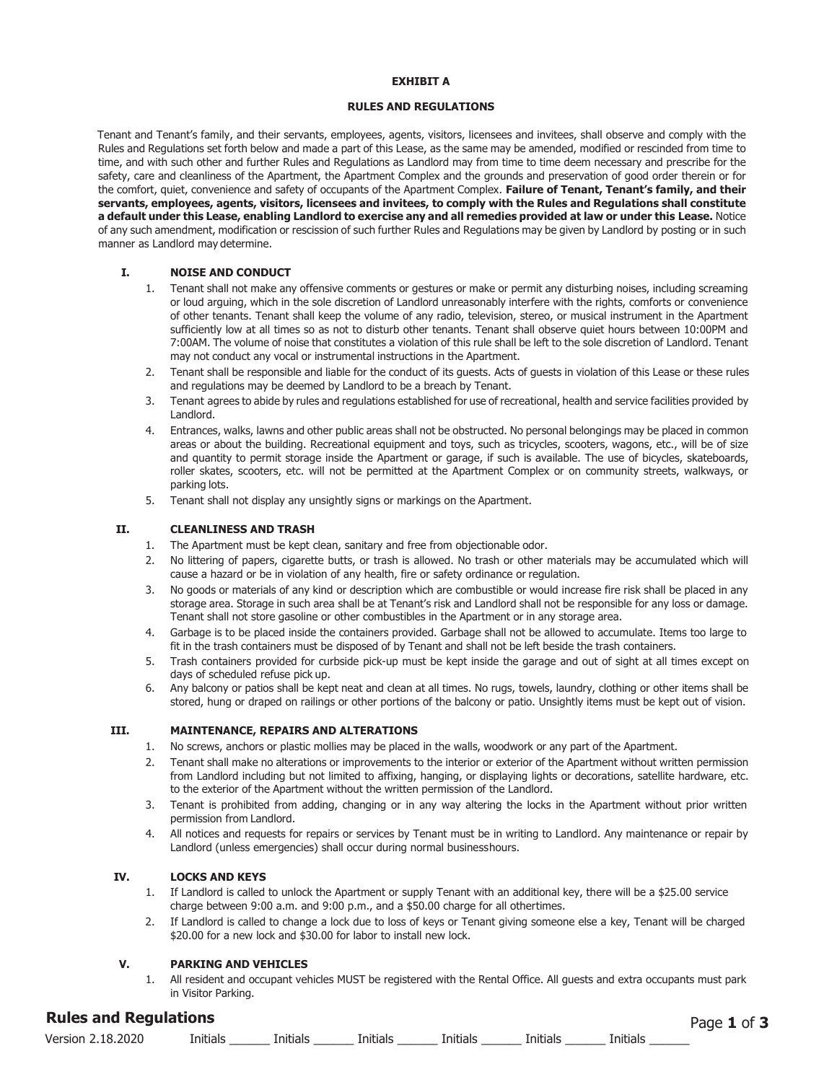#### **EXHIBIT A**

## **RULES AND REGULATIONS**

Tenant and Tenant's family, and their servants, employees, agents, visitors, licensees and invitees, shall observe and comply with the Rules and Regulations set forth below and made a part of this Lease, as the same may be amended, modified or rescinded from time to time, and with such other and further Rules and Regulations as Landlord may from time to time deem necessary and prescribe for the safety, care and cleanliness of the Apartment, the Apartment Complex and the grounds and preservation of good order therein or for the comfort, quiet, convenience and safety of occupants of the Apartment Complex. **Failure of Tenant, Tenant's family, and their servants, employees, agents, visitors, licensees and invitees, to comply with the Rules and Regulations shall constitute a default under this Lease, enabling Landlord to exercise any and all remedies provided at law or under this Lease.** Notice of any such amendment, modification or rescission of such further Rules and Regulations may be given by Landlord by posting or in such manner as Landlord may determine.

## **I. NOISE AND CONDUCT**

- 1. Tenant shall not make any offensive comments or gestures or make or permit any disturbing noises, including screaming or loud arguing, which in the sole discretion of Landlord unreasonably interfere with the rights, comforts or convenience of other tenants. Tenant shall keep the volume of any radio, television, stereo, or musical instrument in the Apartment sufficiently low at all times so as not to disturb other tenants. Tenant shall observe quiet hours between 10:00PM and 7:00AM. The volume of noise that constitutes a violation of this rule shall be left to the sole discretion of Landlord. Tenant may not conduct any vocal or instrumental instructions in the Apartment.
- 2. Tenant shall be responsible and liable for the conduct of its guests. Acts of guests in violation of this Lease or these rules and regulations may be deemed by Landlord to be a breach by Tenant.
- 3. Tenant agrees to abide by rules and regulations established for use of recreational, health and service facilities provided by Landlord.
- 4. Entrances, walks, lawns and other public areas shall not be obstructed. No personal belongings may be placed in common areas or about the building. Recreational equipment and toys, such as tricycles, scooters, wagons, etc., will be of size and quantity to permit storage inside the Apartment or garage, if such is available. The use of bicycles, skateboards, roller skates, scooters, etc. will not be permitted at the Apartment Complex or on community streets, walkways, or parking lots.
- 5. Tenant shall not display any unsightly signs or markings on the Apartment.

#### **II. CLEANLINESS AND TRASH**

- 1. The Apartment must be kept clean, sanitary and free from objectionable odor.
- 2. No littering of papers, cigarette butts, or trash is allowed. No trash or other materials may be accumulated which will cause a hazard or be in violation of any health, fire or safety ordinance or regulation.
- 3. No goods or materials of any kind or description which are combustible or would increase fire risk shall be placed in any storage area. Storage in such area shall be at Tenant's risk and Landlord shall not be responsible for any loss or damage. Tenant shall not store gasoline or other combustibles in the Apartment or in any storage area.
- 4. Garbage is to be placed inside the containers provided. Garbage shall not be allowed to accumulate. Items too large to fit in the trash containers must be disposed of by Tenant and shall not be left beside the trash containers.
- 5. Trash containers provided for curbside pick-up must be kept inside the garage and out of sight at all times except on days of scheduled refuse pick up.
- 6. Any balcony or patios shall be kept neat and clean at all times. No rugs, towels, laundry, clothing or other items shall be stored, hung or draped on railings or other portions of the balcony or patio. Unsightly items must be kept out of vision.

# **III. MAINTENANCE, REPAIRS AND ALTERATIONS**

- 1. No screws, anchors or plastic mollies may be placed in the walls, woodwork or any part of the Apartment.
- 2. Tenant shall make no alterations or improvements to the interior or exterior of the Apartment without written permission from Landlord including but not limited to affixing, hanging, or displaying lights or decorations, satellite hardware, etc. to the exterior of the Apartment without the written permission of the Landlord.
- 3. Tenant is prohibited from adding, changing or in any way altering the locks in the Apartment without prior written permission from Landlord.
- 4. All notices and requests for repairs or services by Tenant must be in writing to Landlord. Any maintenance or repair by Landlord (unless emergencies) shall occur during normal businesshours.

### **IV. LOCKS AND KEYS**

- 1. If Landlord is called to unlock the Apartment or supply Tenant with an additional key, there will be a \$25.00 service charge between 9:00 a.m. and 9:00 p.m., and a \$50.00 charge for all other times.
- 2. If Landlord is called to change a lock due to loss of keys or Tenant giving someone else a key, Tenant will be charged \$20.00 for a new lock and \$30.00 for labor to install new lock.

### **V. PARKING AND VEHICLES**

1. All resident and occupant vehicles MUST be registered with the Rental Office. All guests and extra occupants must park in Visitor Parking.

# **Rules and Regulations** 9HUVLRQ Initials \_\_\_\_\_\_ Initials \_\_\_\_\_\_ Initials \_\_\_\_\_\_ Initials \_\_\_\_\_\_ Initials \_\_\_\_\_\_ Initials \_\_\_\_\_\_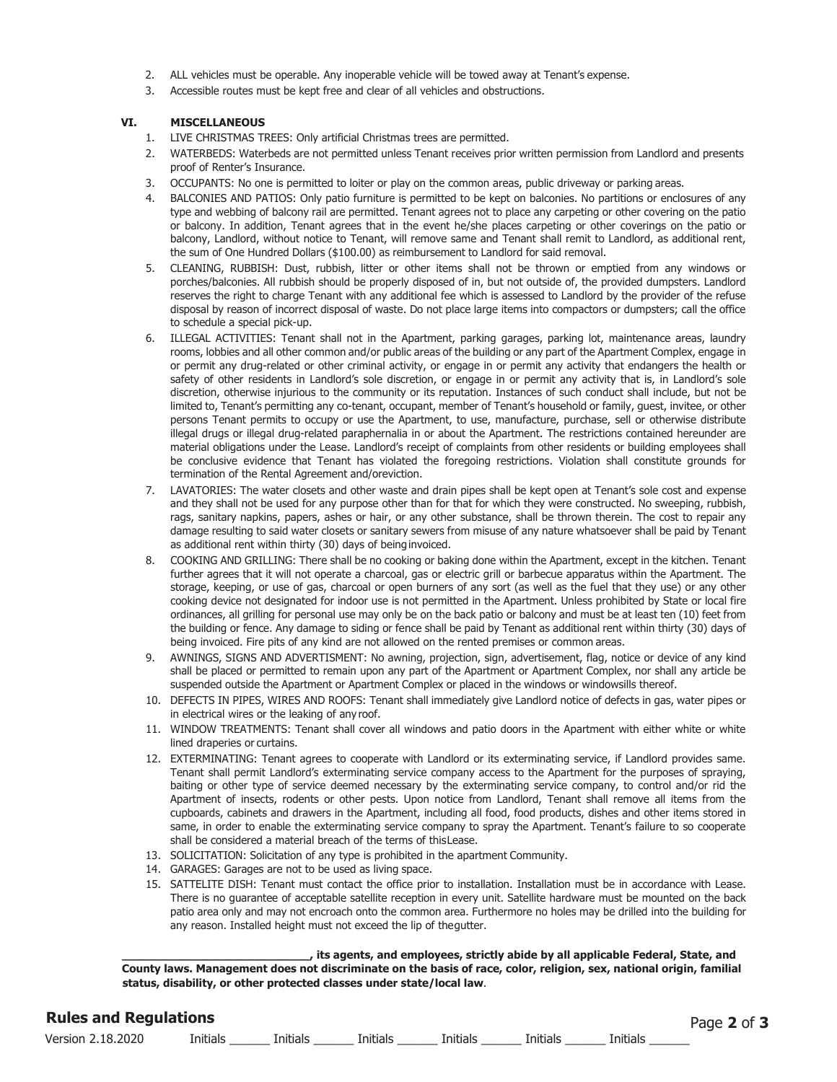- 2. ALL vehicles must be operable. Any inoperable vehicle will be towed away at Tenant's expense.
- 3. Accessible routes must be kept free and clear of all vehicles and obstructions.

# **VI. MISCELLANEOUS**

- 1. LIVE CHRISTMAS TREES: Only artificial Christmas trees are permitted.
- 2. WATERBEDS: Waterbeds are not permitted unless Tenant receives prior written permission from Landlord and presents proof of Renter's Insurance.
- 3. OCCUPANTS: No one is permitted to loiter or play on the common areas, public driveway or parking areas.
- 4. BALCONIES AND PATIOS: Only patio furniture is permitted to be kept on balconies. No partitions or enclosures of any type and webbing of balcony rail are permitted. Tenant agrees not to place any carpeting or other covering on the patio or balcony. In addition, Tenant agrees that in the event he/she places carpeting or other coverings on the patio or balcony, Landlord, without notice to Tenant, will remove same and Tenant shall remit to Landlord, as additional rent, the sum of One Hundred Dollars (\$100.00) as reimbursement to Landlord for said removal.
- 5. CLEANING, RUBBISH: Dust, rubbish, litter or other items shall not be thrown or emptied from any windows or porches/balconies. All rubbish should be properly disposed of in, but not outside of, the provided dumpsters. Landlord reserves the right to charge Tenant with any additional fee which is assessed to Landlord by the provider of the refuse disposal by reason of incorrect disposal of waste. Do not place large items into compactors or dumpsters; call the office to schedule a special pick-up.
- 6. ILLEGAL ACTIVITIES: Tenant shall not in the Apartment, parking garages, parking lot, maintenance areas, laundry rooms, lobbies and all other common and/or public areas of the building or any part of the Apartment Complex, engage in or permit any drug-related or other criminal activity, or engage in or permit any activity that endangers the health or safety of other residents in Landlord's sole discretion, or engage in or permit any activity that is, in Landlord's sole discretion, otherwise injurious to the community or its reputation. Instances of such conduct shall include, but not be limited to, Tenant's permitting any co-tenant, occupant, member of Tenant's household or family, guest, invitee, or other persons Tenant permits to occupy or use the Apartment, to use, manufacture, purchase, sell or otherwise distribute illegal drugs or illegal drug-related paraphernalia in or about the Apartment. The restrictions contained hereunder are material obligations under the Lease. Landlord's receipt of complaints from other residents or building employees shall be conclusive evidence that Tenant has violated the foregoing restrictions. Violation shall constitute grounds for termination of the Rental Agreement and/oreviction.
- 7. LAVATORIES: The water closets and other waste and drain pipes shall be kept open at Tenant's sole cost and expense and they shall not be used for any purpose other than for that for which they were constructed. No sweeping, rubbish, rags, sanitary napkins, papers, ashes or hair, or any other substance, shall be thrown therein. The cost to repair any damage resulting to said water closets or sanitary sewers from misuse of any nature whatsoever shall be paid by Tenant as additional rent within thirty (30) days of being invoiced.
- 8. COOKING AND GRILLING: There shall be no cooking or baking done within the Apartment, except in the kitchen. Tenant further agrees that it will not operate a charcoal, gas or electric grill or barbecue apparatus within the Apartment. The storage, keeping, or use of gas, charcoal or open burners of any sort (as well as the fuel that they use) or any other cooking device not designated for indoor use is not permitted in the Apartment. Unless prohibited by State or local fire ordinances, all grilling for personal use may only be on the back patio or balcony and must be at least ten (10) feet from the building or fence. Any damage to siding or fence shall be paid by Tenant as additional rent within thirty (30) days of being invoiced. Fire pits of any kind are not allowed on the rented premises or common areas.
- 9. AWNINGS, SIGNS AND ADVERTISMENT: No awning, projection, sign, advertisement, flag, notice or device of any kind shall be placed or permitted to remain upon any part of the Apartment or Apartment Complex, nor shall any article be suspended outside the Apartment or Apartment Complex or placed in the windows or windowsills thereof.
- 10. DEFECTS IN PIPES, WIRES AND ROOFS: Tenant shall immediately give Landlord notice of defects in gas, water pipes or in electrical wires or the leaking of any roof.
- 11. WINDOW TREATMENTS: Tenant shall cover all windows and patio doors in the Apartment with either white or white lined draperies or curtains.
- 12. EXTERMINATING: Tenant agrees to cooperate with Landlord or its exterminating service, if Landlord provides same. Tenant shall permit Landlord's exterminating service company access to the Apartment for the purposes of spraying, baiting or other type of service deemed necessary by the exterminating service company, to control and/or rid the Apartment of insects, rodents or other pests. Upon notice from Landlord, Tenant shall remove all items from the cupboards, cabinets and drawers in the Apartment, including all food, food products, dishes and other items stored in same, in order to enable the exterminating service company to spray the Apartment. Tenant's failure to so cooperate shall be considered a material breach of the terms of this Lease.
- 13. SOLICITATION: Solicitation of any type is prohibited in the apartment Community.
- 14. GARAGES: Garages are not to be used as living space.
- 15. SATTELITE DISH: Tenant must contact the office prior to installation. Installation must be in accordance with Lease. There is no guarantee of acceptable satellite reception in every unit. Satellite hardware must be mounted on the back patio area only and may not encroach onto the common area. Furthermore no holes may be drilled into the building for any reason. Installed height must not exceed the lip of the gutter.

**\_\_\_\_\_\_\_\_\_\_\_\_\_\_\_\_\_\_\_\_\_\_\_\_\_\_\_, its agents, and employees, strictly abide by all applicable Federal, State, and County laws. Management does not discriminate on the basis of race, color, religion, sex, national origin, familial status, disability, or other protected classes under state/local law**.

| <b>Rules and Regulations</b><br>Page 2 of 3 |          |          |          |          |          |          |  |  |  |
|---------------------------------------------|----------|----------|----------|----------|----------|----------|--|--|--|
| Version 2.18.2020                           | Initials | Initials | Initials | Initials | Initials | Initials |  |  |  |